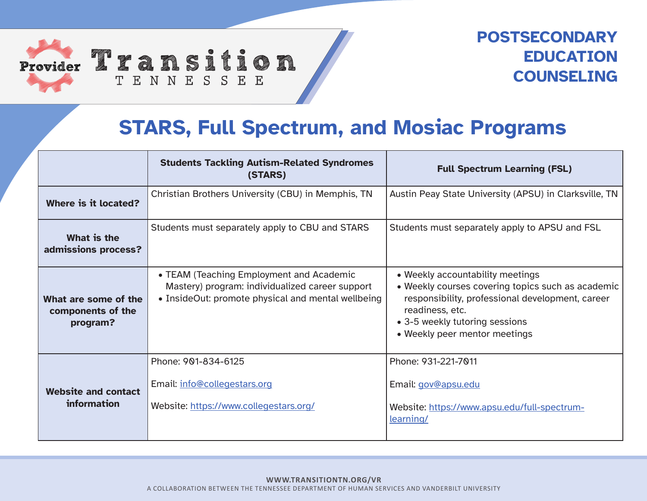

Provider 2 2 a n s i t i o n TENNESSEE

## **POSTSECONDARY EDUCATION COUNSELING**

## **STARS, Full Spectrum, and Mosiac Programs**

|                                                       | <b>Students Tackling Autism-Related Syndromes</b><br>(STARS)                                                                                      | <b>Full Spectrum Learning (FSL)</b>                                                                                                                                                                                             |
|-------------------------------------------------------|---------------------------------------------------------------------------------------------------------------------------------------------------|---------------------------------------------------------------------------------------------------------------------------------------------------------------------------------------------------------------------------------|
| Where is it located?                                  | Christian Brothers University (CBU) in Memphis, TN                                                                                                | Austin Peay State University (APSU) in Clarksville, TN                                                                                                                                                                          |
| What is the<br>admissions process?                    | Students must separately apply to CBU and STARS                                                                                                   | Students must separately apply to APSU and FSL                                                                                                                                                                                  |
| What are some of the<br>components of the<br>program? | • TEAM (Teaching Employment and Academic<br>Mastery) program: individualized career support<br>• InsideOut: promote physical and mental wellbeing | • Weekly accountability meetings<br>. Weekly courses covering topics such as academic<br>responsibility, professional development, career<br>readiness, etc.<br>• 3-5 weekly tutoring sessions<br>• Weekly peer mentor meetings |
| <b>Website and contact</b><br>information             | Phone: 901-834-6125<br>Email: info@collegestars.org<br>Website: https://www.collegestars.org/                                                     | Phone: 931-221-7011<br>Email: gov@apsu.edu<br>Website: https://www.apsu.edu/full-spectrum-<br>learning/                                                                                                                         |